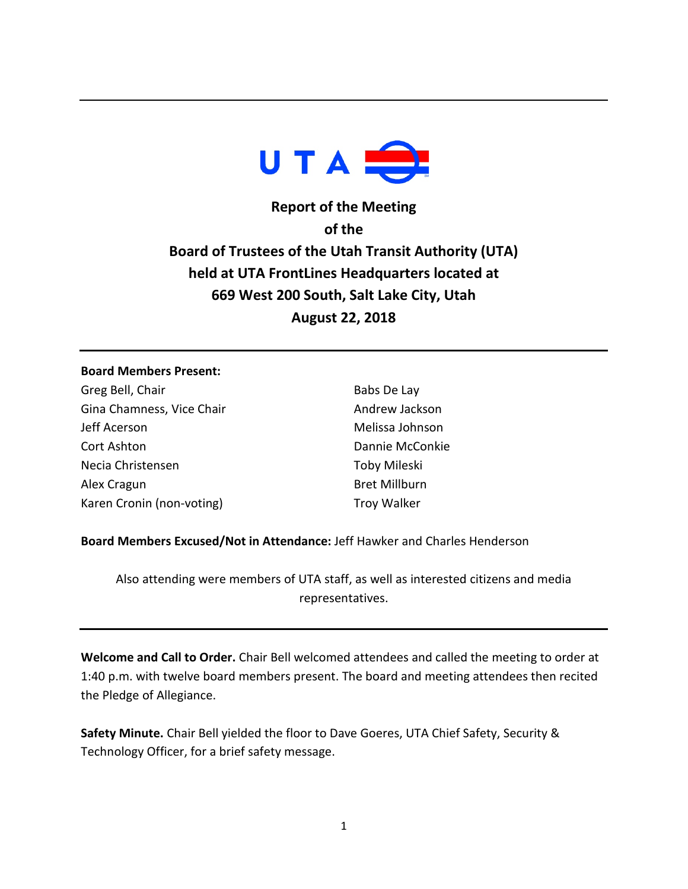

**Report of the Meeting of the Board of Trustees of the Utah Transit Authority (UTA) held at UTA FrontLines Headquarters located at 669 West 200 South, Salt Lake City, Utah August 22, 2018**

## **Board Members Present:**

Greg Bell, Chair Gina Chamness, Vice Chair Jeff Acerson Cort Ashton Necia Christensen Alex Cragun Karen Cronin (non-voting)

Babs De Lay Andrew Jackson Melissa Johnson Dannie McConkie Toby Mileski Bret Millburn Troy Walker

**Board Members Excused/Not in Attendance:** Jeff Hawker and Charles Henderson

Also attending were members of UTA staff, as well as interested citizens and media representatives.

**Welcome and Call to Order.** Chair Bell welcomed attendees and called the meeting to order at 1:40 p.m. with twelve board members present. The board and meeting attendees then recited the Pledge of Allegiance.

**Safety Minute.** Chair Bell yielded the floor to Dave Goeres, UTA Chief Safety, Security & Technology Officer, for a brief safety message.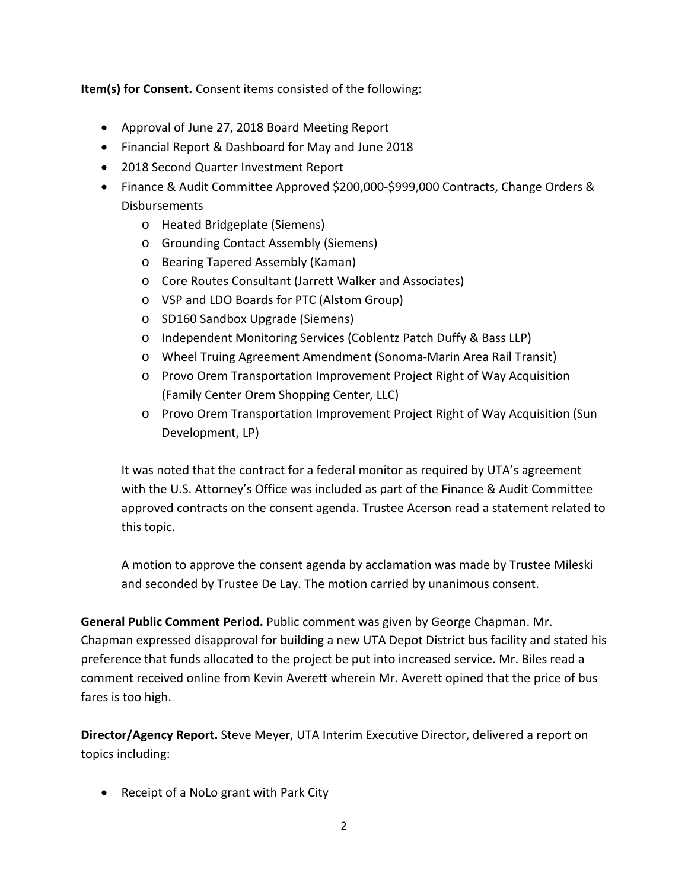**Item(s) for Consent.** Consent items consisted of the following:

- Approval of June 27, 2018 Board Meeting Report
- Financial Report & Dashboard for May and June 2018
- 2018 Second Quarter Investment Report
- Finance & Audit Committee Approved \$200,000-\$999,000 Contracts, Change Orders & Disbursements
	- o Heated Bridgeplate (Siemens)
	- o Grounding Contact Assembly (Siemens)
	- o Bearing Tapered Assembly (Kaman)
	- o Core Routes Consultant (Jarrett Walker and Associates)
	- o VSP and LDO Boards for PTC (Alstom Group)
	- o SD160 Sandbox Upgrade (Siemens)
	- o Independent Monitoring Services (Coblentz Patch Duffy & Bass LLP)
	- o Wheel Truing Agreement Amendment (Sonoma-Marin Area Rail Transit)
	- o Provo Orem Transportation Improvement Project Right of Way Acquisition (Family Center Orem Shopping Center, LLC)
	- o Provo Orem Transportation Improvement Project Right of Way Acquisition (Sun Development, LP)

It was noted that the contract for a federal monitor as required by UTA's agreement with the U.S. Attorney's Office was included as part of the Finance & Audit Committee approved contracts on the consent agenda. Trustee Acerson read a statement related to this topic.

A motion to approve the consent agenda by acclamation was made by Trustee Mileski and seconded by Trustee De Lay. The motion carried by unanimous consent.

**General Public Comment Period.** Public comment was given by George Chapman. Mr. Chapman expressed disapproval for building a new UTA Depot District bus facility and stated his preference that funds allocated to the project be put into increased service. Mr. Biles read a comment received online from Kevin Averett wherein Mr. Averett opined that the price of bus fares is too high.

**Director/Agency Report.** Steve Meyer, UTA Interim Executive Director, delivered a report on topics including:

• Receipt of a NoLo grant with Park City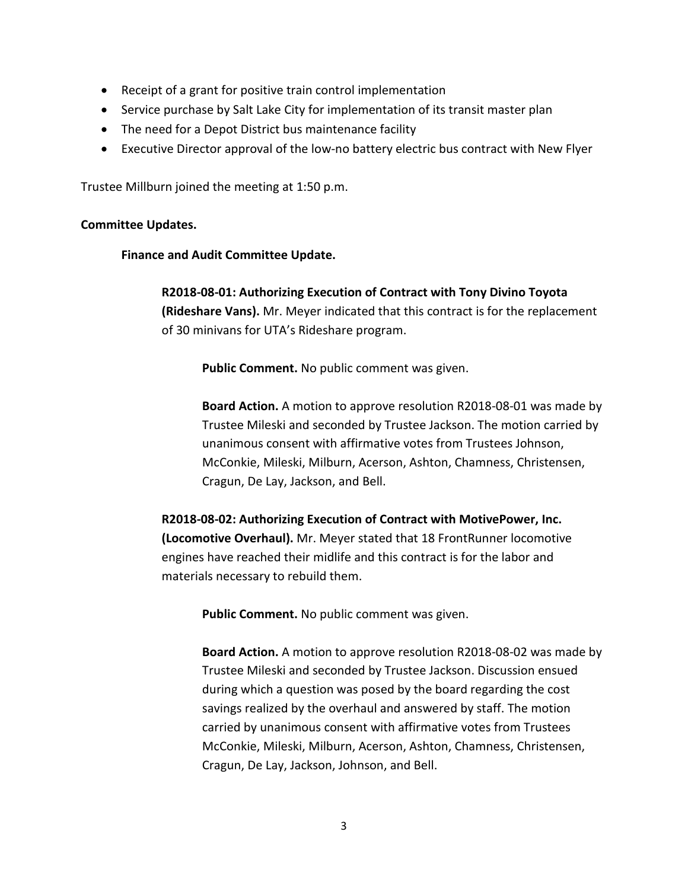- Receipt of a grant for positive train control implementation
- Service purchase by Salt Lake City for implementation of its transit master plan
- The need for a Depot District bus maintenance facility
- Executive Director approval of the low-no battery electric bus contract with New Flyer

Trustee Millburn joined the meeting at 1:50 p.m.

## **Committee Updates.**

## **Finance and Audit Committee Update.**

**R2018-08-01: Authorizing Execution of Contract with Tony Divino Toyota (Rideshare Vans).** Mr. Meyer indicated that this contract is for the replacement of 30 minivans for UTA's Rideshare program.

**Public Comment.** No public comment was given.

**Board Action.** A motion to approve resolution R2018-08-01 was made by Trustee Mileski and seconded by Trustee Jackson. The motion carried by unanimous consent with affirmative votes from Trustees Johnson, McConkie, Mileski, Milburn, Acerson, Ashton, Chamness, Christensen, Cragun, De Lay, Jackson, and Bell.

**R2018-08-02: Authorizing Execution of Contract with MotivePower, Inc. (Locomotive Overhaul).** Mr. Meyer stated that 18 FrontRunner locomotive engines have reached their midlife and this contract is for the labor and materials necessary to rebuild them.

**Public Comment.** No public comment was given.

**Board Action.** A motion to approve resolution R2018-08-02 was made by Trustee Mileski and seconded by Trustee Jackson. Discussion ensued during which a question was posed by the board regarding the cost savings realized by the overhaul and answered by staff. The motion carried by unanimous consent with affirmative votes from Trustees McConkie, Mileski, Milburn, Acerson, Ashton, Chamness, Christensen, Cragun, De Lay, Jackson, Johnson, and Bell.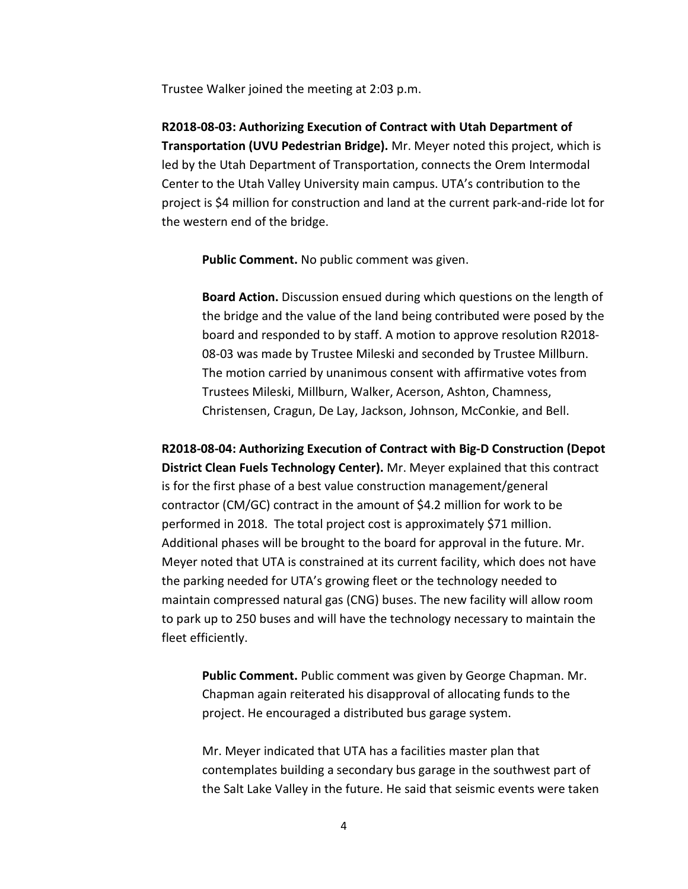Trustee Walker joined the meeting at 2:03 p.m.

**R2018-08-03: Authorizing Execution of Contract with Utah Department of Transportation (UVU Pedestrian Bridge).** Mr. Meyer noted this project, which is led by the Utah Department of Transportation, connects the Orem Intermodal Center to the Utah Valley University main campus. UTA's contribution to the project is \$4 million for construction and land at the current park-and-ride lot for the western end of the bridge.

**Public Comment.** No public comment was given.

**Board Action.** Discussion ensued during which questions on the length of the bridge and the value of the land being contributed were posed by the board and responded to by staff. A motion to approve resolution R2018- 08-03 was made by Trustee Mileski and seconded by Trustee Millburn. The motion carried by unanimous consent with affirmative votes from Trustees Mileski, Millburn, Walker, Acerson, Ashton, Chamness, Christensen, Cragun, De Lay, Jackson, Johnson, McConkie, and Bell.

**R2018-08-04: Authorizing Execution of Contract with Big-D Construction (Depot District Clean Fuels Technology Center).** Mr. Meyer explained that this contract is for the first phase of a best value construction management/general contractor (CM/GC) contract in the amount of \$4.2 million for work to be performed in 2018. The total project cost is approximately \$71 million. Additional phases will be brought to the board for approval in the future. Mr. Meyer noted that UTA is constrained at its current facility, which does not have the parking needed for UTA's growing fleet or the technology needed to maintain compressed natural gas (CNG) buses. The new facility will allow room to park up to 250 buses and will have the technology necessary to maintain the fleet efficiently.

**Public Comment.** Public comment was given by George Chapman. Mr. Chapman again reiterated his disapproval of allocating funds to the project. He encouraged a distributed bus garage system.

Mr. Meyer indicated that UTA has a facilities master plan that contemplates building a secondary bus garage in the southwest part of the Salt Lake Valley in the future. He said that seismic events were taken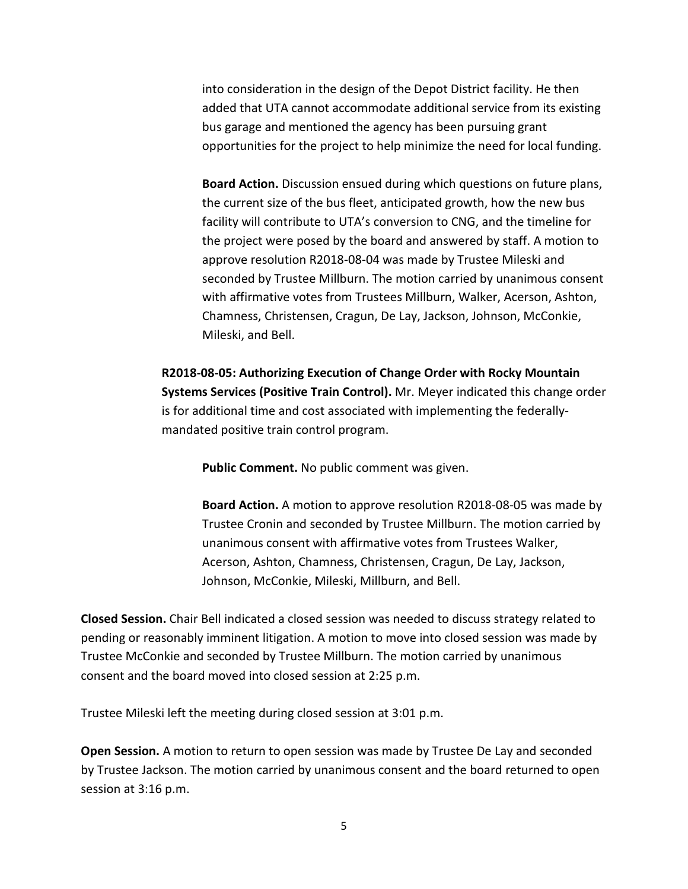into consideration in the design of the Depot District facility. He then added that UTA cannot accommodate additional service from its existing bus garage and mentioned the agency has been pursuing grant opportunities for the project to help minimize the need for local funding.

**Board Action.** Discussion ensued during which questions on future plans, the current size of the bus fleet, anticipated growth, how the new bus facility will contribute to UTA's conversion to CNG, and the timeline for the project were posed by the board and answered by staff. A motion to approve resolution R2018-08-04 was made by Trustee Mileski and seconded by Trustee Millburn. The motion carried by unanimous consent with affirmative votes from Trustees Millburn, Walker, Acerson, Ashton, Chamness, Christensen, Cragun, De Lay, Jackson, Johnson, McConkie, Mileski, and Bell.

**R2018-08-05: Authorizing Execution of Change Order with Rocky Mountain Systems Services (Positive Train Control).** Mr. Meyer indicated this change order is for additional time and cost associated with implementing the federallymandated positive train control program.

**Public Comment.** No public comment was given.

**Board Action.** A motion to approve resolution R2018-08-05 was made by Trustee Cronin and seconded by Trustee Millburn. The motion carried by unanimous consent with affirmative votes from Trustees Walker, Acerson, Ashton, Chamness, Christensen, Cragun, De Lay, Jackson, Johnson, McConkie, Mileski, Millburn, and Bell.

**Closed Session.** Chair Bell indicated a closed session was needed to discuss strategy related to pending or reasonably imminent litigation. A motion to move into closed session was made by Trustee McConkie and seconded by Trustee Millburn. The motion carried by unanimous consent and the board moved into closed session at 2:25 p.m.

Trustee Mileski left the meeting during closed session at 3:01 p.m.

**Open Session.** A motion to return to open session was made by Trustee De Lay and seconded by Trustee Jackson. The motion carried by unanimous consent and the board returned to open session at 3:16 p.m.